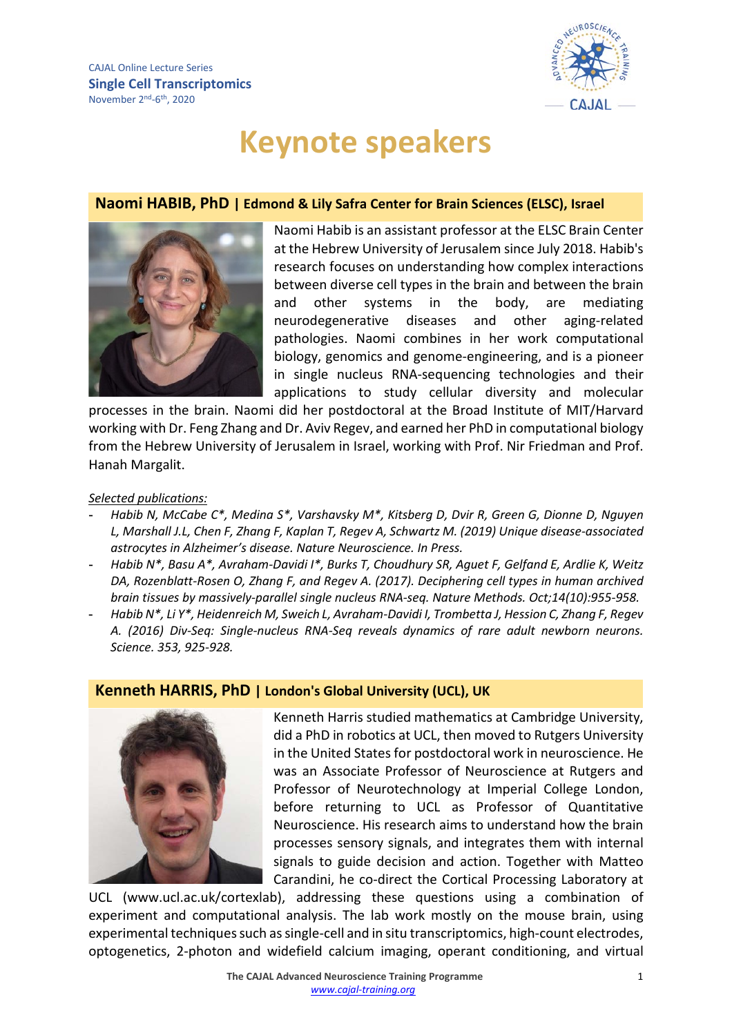

# **Keynote speakers**

## **Naomi HABIB, PhD | [Edmond & Lily Safra Center for Brain Sciences](https://elsc.huji.ac.il/) (ELSC), Israel**



Naomi Habib is an assistant professor at the ELSC Brain Center at the Hebrew University of Jerusalem since July 2018. Habib's research focuses on understanding how complex interactions between diverse cell types in the brain and between the brain and other systems in the body, are mediating neurodegenerative diseases and other aging-related pathologies. Naomi combines in her work computational biology, genomics and genome-engineering, and is a pioneer in single nucleus RNA-sequencing technologies and their applications to study cellular diversity and molecular

processes in the brain. Naomi did her postdoctoral at the Broad Institute of MIT/Harvard working with Dr. Feng Zhang and Dr. Aviv Regev, and earned her PhD in computational biology from the Hebrew University of Jerusalem in Israel, working with Prof. Nir Friedman and Prof. Hanah Margalit.

## *Selected publications:*

- **-** *Habib N, McCabe C\*, Medina S\*, Varshavsky M\*, Kitsberg D, Dvir R, Green G, Dionne D, Nguyen L, Marshall J.L, Chen F, Zhang F, Kaplan T, Regev A, Schwartz M. (2019) Unique disease-associated astrocytes in Alzheimer's disease. Nature Neuroscience. In Press.*
- **-** *Habib N\*, Basu A\*, Avraham-Davidi I\*, Burks T, Choudhury SR, Aguet F, Gelfand E, Ardlie K, Weitz DA, Rozenblatt-Rosen O, Zhang F, and Regev A. (2017). Deciphering cell types in human archived brain tissues by massively-parallel single nucleus RNA-seq. Nature Methods. Oct;14(10):955-958.*
- **-** *Habib N\*, Li Y\*, Heidenreich M, Sweich L, Avraham-Davidi I, Trombetta J, Hession C, Zhang F, Regev A. (2016) Div-Seq: Single-nucleus RNA-Seq reveals dynamics of rare adult newborn neurons. Science. 353, 925-928.*

# **Kenneth HARRIS, PhD | [London's Global University](https://www.ucl.ac.uk/) (UCL), UK**



Kenneth Harris studied mathematics at Cambridge University, did a PhD in robotics at UCL, then moved to Rutgers University in the United States for postdoctoral work in neuroscience. He was an Associate Professor of Neuroscience at Rutgers and Professor of Neurotechnology at Imperial College London, before returning to UCL as Professor of Quantitative Neuroscience. His research aims to understand how the brain processes sensory signals, and integrates them with internal signals to guide decision and action. Together with Matteo Carandini, he co-direct the Cortical Processing Laboratory at

UCL [\(www.ucl.ac.uk/cortexlab\)](http://www.ucl.ac.uk/cortexlab), addressing these questions using a combination of experiment and computational analysis. The lab work mostly on the mouse brain, using experimental techniques such as single-cell and in situ transcriptomics, high-count electrodes, optogenetics, 2-photon and widefield calcium imaging, operant conditioning, and virtual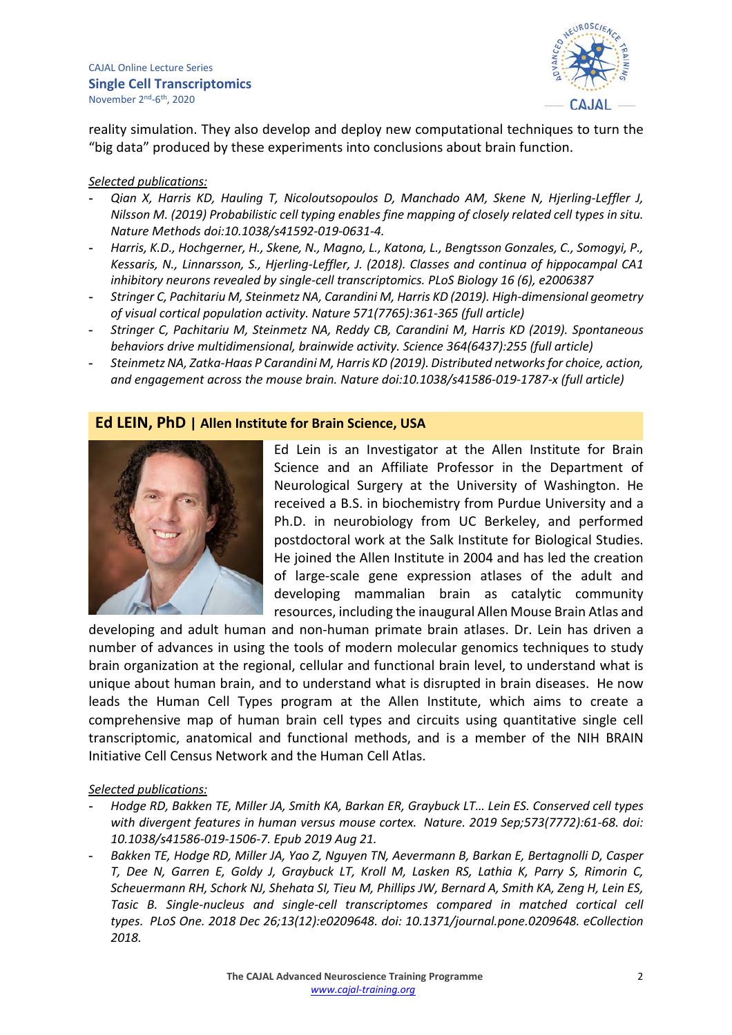CAJAL Online Lecture Series **Single Cell Transcriptomics** November 2nd-6th, 2020



reality simulation. They also develop and deploy new computational techniques to turn the "big data" produced by these experiments into conclusions about brain function.

### *Selected publications:*

- **-** *Qian X, Harris KD, Hauling T, Nicoloutsopoulos D, Manchado AM, Skene N, Hjerling-Leffler J, Nilsson M. (2019) Probabilistic cell typing enables fine mapping of closely related cell types in situ. Nature Methods doi:10.1038/s41592-019-0631-4.*
- **-** *Harris, K.D., Hochgerner, H., Skene, N., Magno, L., Katona, L., Bengtsson Gonzales, C., Somogyi, P., Kessaris, N., Linnarsson, S., Hjerling-Leffler, J. (2018). Classes and continua of hippocampal CA1 inhibitory neurons revealed by single-cell transcriptomics. PLoS Biology 16 (6), e2006387*
- **-** *Stringer C, Pachitariu M, Steinmetz NA, Carandini M, Harris KD (2019). High-dimensional geometry of visual cortical population activity. Nature 571(7765):361-365 (full article)*
- **-** *Stringer C, Pachitariu M, Steinmetz NA, Reddy CB, Carandini M, Harris KD (2019). Spontaneous behaviors drive multidimensional, brainwide activity. Science 364(6437):255 (full article)*
- **-** *Steinmetz NA, Zatka-Haas P Carandini M, Harris KD (2019). Distributed networks for choice, action, and engagement across the mouse brain. Nature doi:10.1038/s41586-019-1787-x (full article)*

## **Ed LEIN, PhD | Allen Institute for Brain Science, USA**



Ed Lein is an Investigator at the Allen Institute for Brain Science and an Affiliate Professor in the Department of Neurological Surgery at the University of Washington. He received a B.S. in biochemistry from Purdue University and a Ph.D. in neurobiology from UC Berkeley, and performed postdoctoral work at the Salk Institute for Biological Studies. He joined the Allen Institute in 2004 and has led the creation of large-scale gene expression atlases of the adult and developing mammalian brain as catalytic community resources, including the inaugural Allen Mouse Brain Atlas and

developing and adult human and non-human primate brain atlases. Dr. Lein has driven a number of advances in using the tools of modern molecular genomics techniques to study brain organization at the regional, cellular and functional brain level, to understand what is unique about human brain, and to understand what is disrupted in brain diseases. He now leads the Human Cell Types program at the Allen Institute, which aims to create a comprehensive map of human brain cell types and circuits using quantitative single cell transcriptomic, anatomical and functional methods, and is a member of the NIH BRAIN Initiative Cell Census Network and the Human Cell Atlas.

- **-** *Hodge RD, Bakken TE, Miller JA, Smith KA, Barkan ER, Graybuck LT… Lein ES. [Conserved cell types](https://www.ncbi.nlm.nih.gov/pubmed/31435019)  [with divergent features in human versus mouse cortex.](https://www.ncbi.nlm.nih.gov/pubmed/31435019) Nature. 2019 Sep;573(7772):61-68. doi: 10.1038/s41586-019-1506-7. Epub 2019 Aug 21.*
- **-** *Bakken TE, Hodge RD, Miller JA, Yao Z, Nguyen TN, Aevermann B, Barkan E, Bertagnolli D, Casper T, Dee N, Garren E, Goldy J, Graybuck LT, Kroll M, Lasken RS, Lathia K, Parry S, Rimorin C, Scheuermann RH, Schork NJ, Shehata SI, Tieu M, Phillips JW, Bernard A, Smith KA, Zeng H, Lein ES, Tasic B. [Single-nucleus and single-cell transcriptomes compared in matched cortical cell](https://www.ncbi.nlm.nih.gov/pubmed/30586455)  [types.](https://www.ncbi.nlm.nih.gov/pubmed/30586455) PLoS One. 2018 Dec 26;13(12):e0209648. doi: 10.1371/journal.pone.0209648. eCollection 2018.*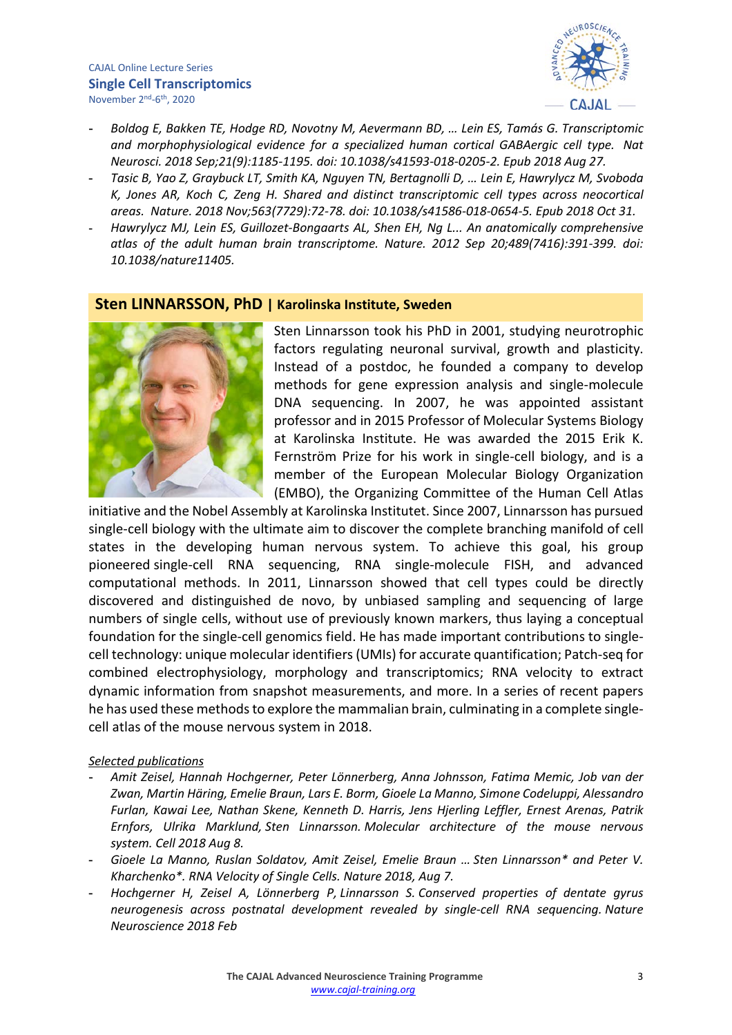#### CAJAL Online Lecture Series **Single Cell Transcriptomics** November 2nd-6th, 2020



- **-** *Boldog E, Bakken TE, Hodge RD, Novotny M, Aevermann BD, … Lein ES, Tamás G. [Transcriptomic](https://www.ncbi.nlm.nih.gov/pubmed/30150662)  [and morphophysiological evidence for a specialized human cortical GABAergic cell type.](https://www.ncbi.nlm.nih.gov/pubmed/30150662) Nat Neurosci. 2018 Sep;21(9):1185-1195. doi: 10.1038/s41593-018-0205-2. Epub 2018 Aug 27.*
- **-** *Tasic B, Yao Z, Graybuck LT, Smith KA, Nguyen TN, Bertagnolli D, … Lein E, Hawrylycz M, Svoboda K, Jones AR, Koch C, Zeng H. [Shared and distinct transcriptomic cell types across neocortical](https://www.ncbi.nlm.nih.gov/pubmed/30382198)  [areas.](https://www.ncbi.nlm.nih.gov/pubmed/30382198) Nature. 2018 Nov;563(7729):72-78. doi: 10.1038/s41586-018-0654-5. Epub 2018 Oct 31.*
- **-** *Hawrylycz MJ, Lein ES, Guillozet-Bongaarts AL, Shen EH, Ng L... [An anatomically comprehensive](https://www.ncbi.nlm.nih.gov/pubmed/22996553)  [atlas of the adult human brain transcriptome.](https://www.ncbi.nlm.nih.gov/pubmed/22996553) Nature. 2012 Sep 20;489(7416):391-399. doi: 10.1038/nature11405.*

## **Sten LINNARSSON, PhD | Karolinska Institute, Sweden**



Sten Linnarsson took his PhD in 2001, studying neurotrophic factors regulating neuronal survival, growth and plasticity. Instead of a postdoc, he founded a company to develop methods for gene expression analysis and single-molecule DNA sequencing. In 2007, he was appointed assistant professor and in 2015 Professor of Molecular Systems Biology at Karolinska Institute. He was awarded the 2015 Erik K. Fernström Prize for his work in single-cell biology, and is a member of the European Molecular Biology Organization (EMBO), the Organizing Committee of the Human Cell Atlas

initiative and the Nobel Assembly at Karolinska Institutet. Since 2007, Linnarsson has pursued single-cell biology with the ultimate aim to discover the complete branching manifold of cell states in the developing human nervous system. To achieve this goal, his group pioneered single-cell RNA sequencing, RNA single-molecule FISH, and advanced computational methods. In 2011, Linnarsson showed that cell types could be directly discovered and distinguished de novo, by unbiased sampling and sequencing of large numbers of single cells, without use of previously known markers, thus laying a conceptual foundation for the single-cell genomics field. He has made important contributions to singlecell technology: unique molecular identifiers (UMIs) for accurate quantification; Patch-seq for combined electrophysiology, morphology and transcriptomics; RNA velocity to extract dynamic information from snapshot measurements, and more. In a series of recent papers he has used these methods to explore the mammalian brain, culminating in a complete singlecell atlas of the mouse nervous system in 2018.

- **-** *Amit Zeisel, Hannah Hochgerner, Peter Lönnerberg, Anna Johnsson, Fatima Memic, Job van der Zwan, Martin Häring, Emelie Braun, Lars E. Borm, Gioele La Manno, Simone Codeluppi, Alessandro Furlan, Kawai Lee, Nathan Skene, Kenneth D. Harris, Jens Hjerling Leffler, Ernest Arenas, Patrik Ernfors, Ulrika Marklund, Sten Linnarsson. Molecular architecture of the mouse nervous system. Cell 2018 Aug 8.*
- **-** *Gioele La Manno, Ruslan Soldatov, Amit Zeisel, Emelie Braun … Sten Linnarsson\* and Peter V. Kharchenko\*. RNA Velocity of Single Cells. Nature 2018, Aug 7.*
- **-** *Hochgerner H, Zeisel A, Lönnerberg P, Linnarsson S. Conserved properties of dentate gyrus neurogenesis across postnatal development revealed by single-cell RNA sequencing. Nature Neuroscience 2018 Feb*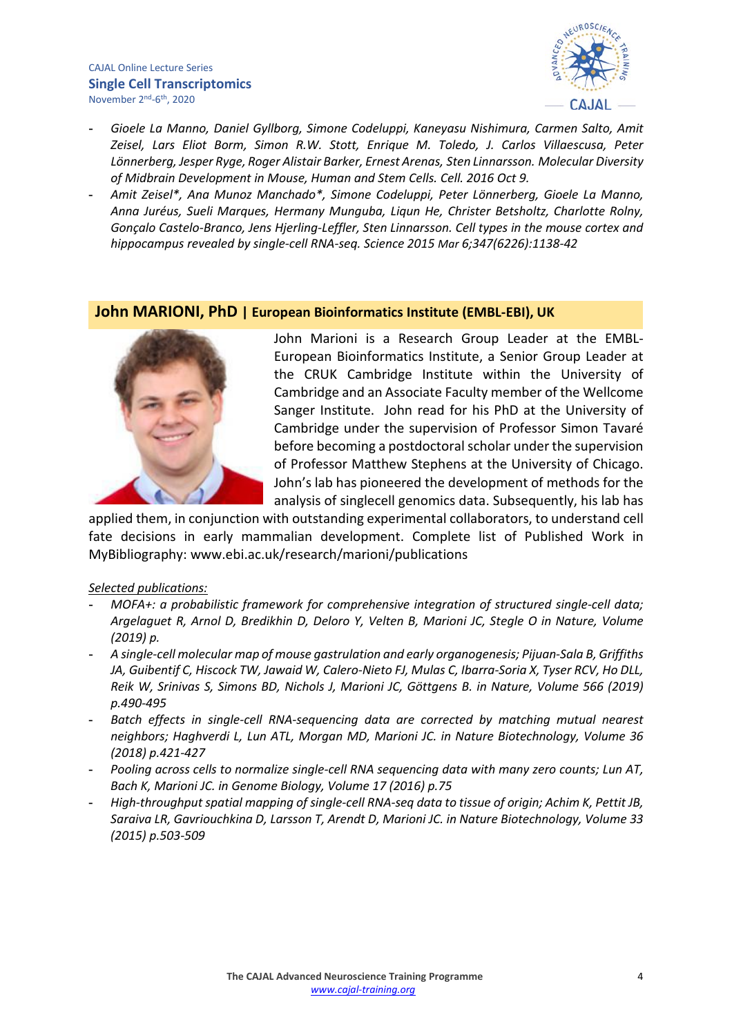### CAJAL Online Lecture Series **Single Cell Transcriptomics** November 2nd-6th, 2020



- **-** *Gioele La Manno, Daniel Gyllborg, Simone Codeluppi, Kaneyasu Nishimura, Carmen Salto, Amit Zeisel, Lars Eliot Borm, Simon R.W. Stott, Enrique M. Toledo, J. Carlos Villaescusa, Peter Lönnerberg, Jesper Ryge, Roger Alistair Barker, Ernest Arenas, Sten Linnarsson. Molecular Diversity of Midbrain Development in Mouse, Human and Stem Cells. Cell. 2016 Oct 9.*
- **-** *Amit Zeisel\*, Ana Munoz Manchado\*, Simone Codeluppi, Peter Lönnerberg, Gioele La Manno, Anna Juréus, Sueli Marques, Hermany Munguba, Liqun He, Christer Betsholtz, Charlotte Rolny, Gonçalo Castelo-Branco, Jens Hjerling-Leffler, Sten Linnarsson. Cell types in the mouse cortex and hippocampus revealed by single-cell RNA-seq. Science 2015 Mar 6;347(6226):1138-42*

## **John MARIONI, PhD | European Bioinformatics Institute (EMBL-EBI), UK**



John Marioni is a Research Group Leader at the EMBL-European Bioinformatics Institute, a Senior Group Leader at the CRUK Cambridge Institute within the University of Cambridge and an Associate Faculty member of the Wellcome Sanger Institute. John read for his PhD at the University of Cambridge under the supervision of Professor Simon Tavaré before becoming a postdoctoral scholar under the supervision of Professor Matthew Stephens at the University of Chicago. John's lab has pioneered the development of methods for the analysis of singlecell genomics data. Subsequently, his lab has

applied them, in conjunction with outstanding experimental collaborators, to understand cell fate decisions in early mammalian development. Complete list of Published Work in MyBibliography: www.ebi.ac.uk/research/marioni/publications

- **-** *MOFA+: a probabilistic framework for comprehensive integration of structured single-cell data; Argelaguet R, Arnol D, Bredikhin D, Deloro Y, Velten B, Marioni JC, Stegle O in Nature, Volume (2019) p.*
- **-** *A single-cell molecular map of mouse gastrulation and early organogenesis; Pijuan-Sala B, Griffiths JA, Guibentif C, Hiscock TW, Jawaid W, Calero-Nieto FJ, Mulas C, Ibarra-Soria X, Tyser RCV, Ho DLL, Reik W, Srinivas S, Simons BD, Nichols J, Marioni JC, Göttgens B. in Nature, Volume 566 (2019) p.490-495*
- **-** *Batch effects in single-cell RNA-sequencing data are corrected by matching mutual nearest neighbors; Haghverdi L, Lun ATL, Morgan MD, Marioni JC. in Nature Biotechnology, Volume 36 (2018) p.421-427*
- **-** *Pooling across cells to normalize single-cell RNA sequencing data with many zero counts; Lun AT, Bach K, Marioni JC. in Genome Biology, Volume 17 (2016) p.75*
- **-** *High-throughput spatial mapping of single-cell RNA-seq data to tissue of origin; Achim K, Pettit JB, Saraiva LR, Gavriouchkina D, Larsson T, Arendt D, Marioni JC. in Nature Biotechnology, Volume 33 (2015) p.503-509*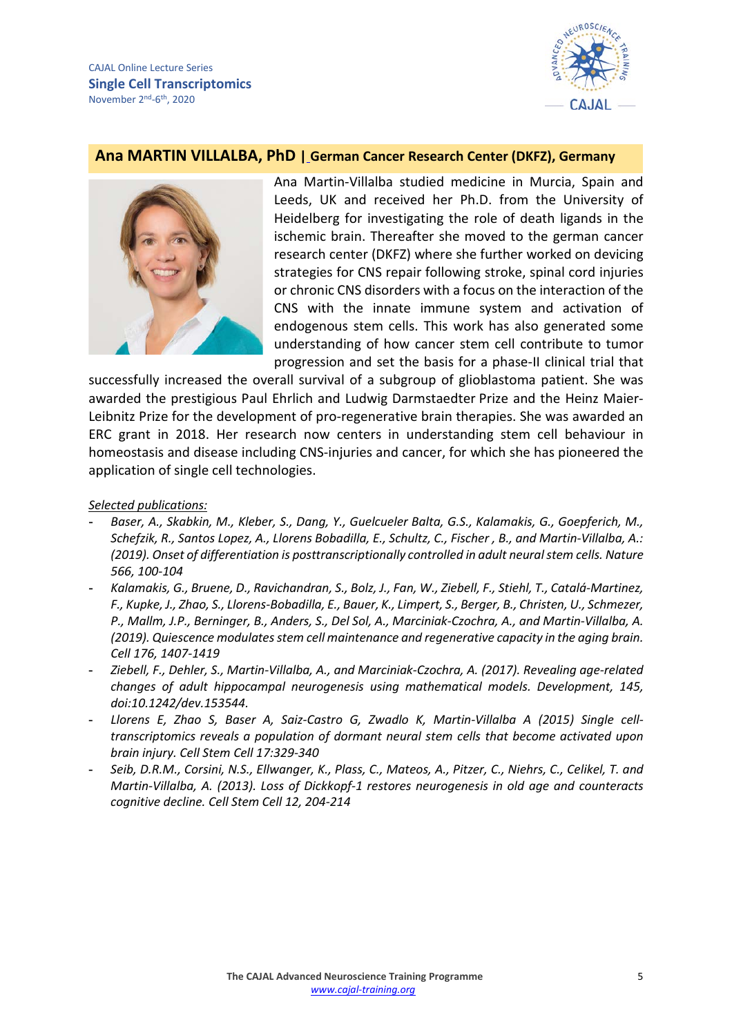

## **Ana MARTIN VILLALBA, PhD | [German Cancer Research Center \(DKFZ\), Germany](https://www.dkfz.de/)**



Ana Martin-Villalba studied medicine in Murcia, Spain and Leeds, UK and received her Ph.D. from the University of Heidelberg for investigating the role of death ligands in the ischemic brain. Thereafter she moved to the german cancer research center (DKFZ) where she further worked on devicing strategies for CNS repair following stroke, spinal cord injuries or chronic CNS disorders with a focus on the interaction of the CNS with the innate immune system and activation of endogenous stem cells. This work has also generated some understanding of how cancer stem cell contribute to tumor progression and set the basis for a phase-II clinical trial that

successfully increased the overall survival of a subgroup of glioblastoma patient. She was awarded the prestigious Paul Ehrlich and Ludwig Darmstaedter Prize and the Heinz Maier-Leibnitz Prize for the development of pro-regenerative brain therapies. She was awarded an ERC grant in 2018. Her research now centers in understanding stem cell behaviour in homeostasis and disease including CNS-injuries and cancer, for which she has pioneered the application of single cell technologies.

- **-** *Baser, A., Skabkin, M., Kleber, S., Dang, Y., Guelcueler Balta, G.S., Kalamakis, G., Goepferich, M., Schefzik, R., Santos Lopez, A., Llorens Bobadilla, E., Schultz, C., Fischer , B., and Martin-Villalba, A.: (2019). Onset of differentiation is posttranscriptionally controlled in adult neural stem cells. Nature 566, 100-104*
- **-** *Kalamakis, G., Bruene, D., Ravichandran, S., Bolz, J., Fan, W., Ziebell, F., Stiehl, T., Catalá-Martinez, F., Kupke, J., Zhao, S., Llorens-Bobadilla, E., Bauer, K., Limpert, S., Berger, B., Christen, U., Schmezer, P., Mallm, J.P., Berninger, B., Anders, S., Del Sol, A., Marciniak-Czochra, A., and Martin-Villalba, A. (2019). Quiescence modulates stem cell maintenance and regenerative capacity in the aging brain. Cell 176, 1407-1419*
- **-** *Ziebell, F., Dehler, S., Martin-Villalba, A., and Marciniak-Czochra, A. (2017). Revealing age-related changes of adult hippocampal neurogenesis using mathematical models. Development, 145, doi:10.1242/dev.153544.*
- **-** *Llorens E, Zhao S, Baser A, Saiz-Castro G, Zwadlo K, Martin-Villalba A (2015) Single celltranscriptomics reveals a population of dormant neural stem cells that become activated upon brain injury. Cell Stem Cell 17:329-340*
- **-** *Seib, D.R.M., Corsini, N.S., Ellwanger, K., Plass, C., Mateos, A., Pitzer, C., Niehrs, C., Celikel, T. and Martin-Villalba, A. (2013). Loss of Dickkopf-1 restores neurogenesis in old age and counteracts cognitive decline. Cell Stem Cell 12, 204-214*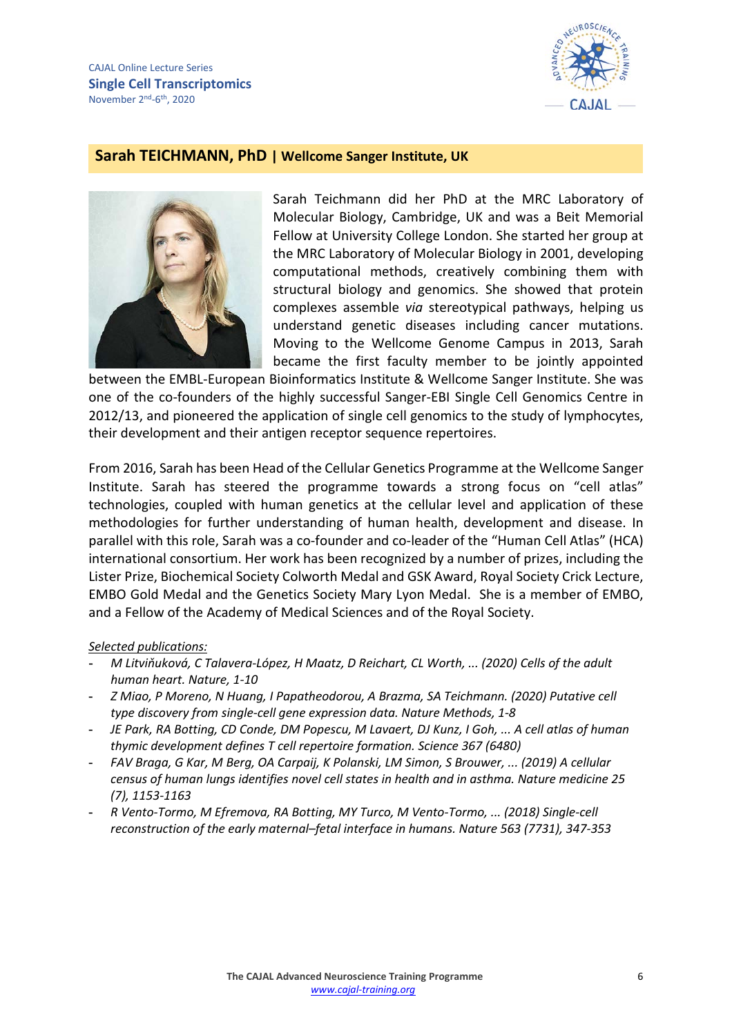

## **Sarah TEICHMANN, PhD | Wellcome Sanger Institute, UK**



Sarah Teichmann did her PhD at the MRC Laboratory of Molecular Biology, Cambridge, UK and was a Beit Memorial Fellow at University College London. She started her group at the MRC Laboratory of Molecular Biology in 2001, developing computational methods, creatively combining them with structural biology and genomics. She showed that protein complexes assemble *via* stereotypical pathways, helping us understand genetic diseases including cancer mutations. Moving to the Wellcome Genome Campus in 2013, Sarah became the first faculty member to be jointly appointed

between the EMBL-European Bioinformatics Institute & Wellcome Sanger Institute. She was one of the co-founders of the highly successful Sanger-EBI Single Cell Genomics Centre in 2012/13, and pioneered the application of single cell genomics to the study of lymphocytes, their development and their antigen receptor sequence repertoires.

From 2016, Sarah has been Head of the Cellular Genetics Programme at the Wellcome Sanger Institute. Sarah has steered the programme towards a strong focus on "cell atlas" technologies, coupled with human genetics at the cellular level and application of these methodologies for further understanding of human health, development and disease. In parallel with this role, Sarah was a co-founder and co-leader of the "Human Cell Atlas" (HCA) international consortium. Her work has been recognized by a number of prizes, including the Lister Prize, Biochemical Society Colworth Medal and GSK Award, Royal Society Crick Lecture, EMBO Gold Medal and the Genetics Society Mary Lyon Medal. She is a member of EMBO, and a Fellow of the Academy of Medical Sciences and of the Royal Society.

- **-** *M Litviňuková, C Talavera-López, H Maatz, D Reichart, CL Worth, ... (2020) Cells of the adult human heart. Nature, 1-10*
- **-** *Z Miao, P Moreno, N Huang, I Papatheodorou, A Brazma, SA Teichmann. (2020) Putative cell type discovery from single-cell gene expression data. Nature Methods, 1-8*
- **-** *JE Park, RA Botting, CD Conde, DM Popescu, M Lavaert, DJ Kunz, I Goh, ... A cell atlas of human thymic development defines T cell repertoire formation. Science 367 (6480)*
- **-** *FAV Braga, G Kar, M Berg, OA Carpaij, K Polanski, LM Simon, S Brouwer, ... (2019) A cellular census of human lungs identifies novel cell states in health and in asthma. Nature medicine 25 (7), 1153-1163*
- **-** *R Vento-Tormo, M Efremova, RA Botting, MY Turco, M Vento-Tormo, ... (2018) Single-cell reconstruction of the early maternal–fetal interface in humans. Nature 563 (7731), 347-353*